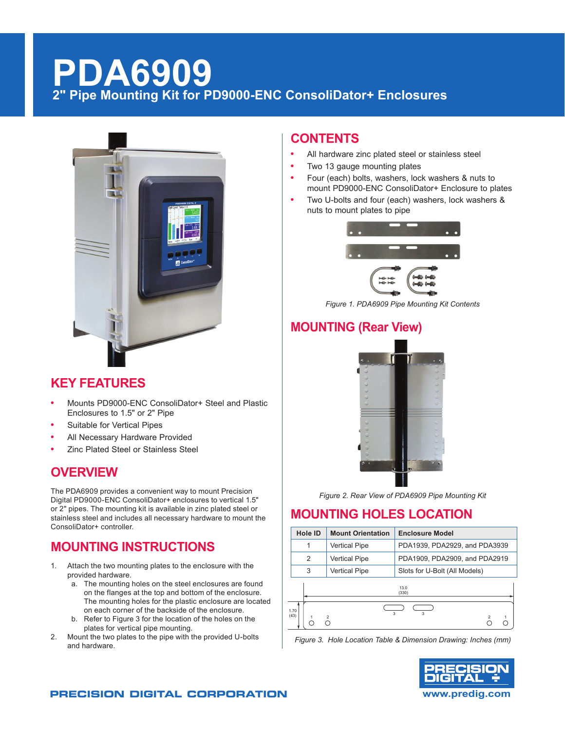# **PDA6909 2" Pipe Mounting Kit for PD9000-ENC ConsoliDator+ Enclosures**



## **KEY FEATURES**

- **•** Mounts PD9000-ENC ConsoliDator+ Steel and Plastic Enclosures to 1.5" or 2" Pipe
- **•** Suitable for Vertical Pipes
- **•** All Necessary Hardware Provided
- **•** Zinc Plated Steel or Stainless Steel

## **OVERVIEW**

The PDA6909 provides a convenient way to mount Precision Digital PD9000-ENC ConsoliDator+ enclosures to vertical 1.5" or 2" pipes. The mounting kit is available in zinc plated steel or stainless steel and includes all necessary hardware to mount the ConsoliDator+ controller.

## **MOUNTING INSTRUCTIONS**

- 1. Attach the two mounting plates to the enclosure with the provided hardware.
	- a. The mounting holes on the steel enclosures are found on the flanges at the top and bottom of the enclosure. The mounting holes for the plastic enclosure are located on each corner of the backside of the enclosure.
	- b. Refer to Figure 3 for the location of the holes on the plates for vertical pipe mounting.
- 2. Mount the two plates to the pipe with the provided U-bolts and hardware.

### **CONTENTS**

- **•** All hardware zinc plated steel or stainless steel
- **•** Two 13 gauge mounting plates
- **•** Four (each) bolts, washers, lock washers & nuts to mount PD9000-ENC ConsoliDator+ Enclosure to plates
- **•** Two U-bolts and four (each) washers, lock washers & nuts to mount plates to pipe



*Figure 1. PDA6909 Pipe Mounting Kit Contents*

## **MOUNTING (Rear View)**



*Figure 2. Rear View of PDA6909 Pipe Mounting Kit*

## **MOUNTING HOLES LOCATION**

| <b>Hole ID</b> | <b>Mount Orientation</b> | <b>Enclosure Model</b>        |  |
|----------------|--------------------------|-------------------------------|--|
| 1              | <b>Vertical Pipe</b>     | PDA1939, PDA2929, and PDA3939 |  |
| 2              | <b>Vertical Pipe</b>     | PDA1909, PDA2909, and PDA2919 |  |
| 3              | <b>Vertical Pipe</b>     | Slots for U-Bolt (All Models) |  |
|                |                          | 13.0<br>(330)                 |  |
| 1.70<br>(43)   |                          | 3<br>3                        |  |

*Figure 3. Hole Location Table & Dimension Drawing: Inches (mm)*



#### **PRECISION DIGITAL CORPORATION www.predig.com**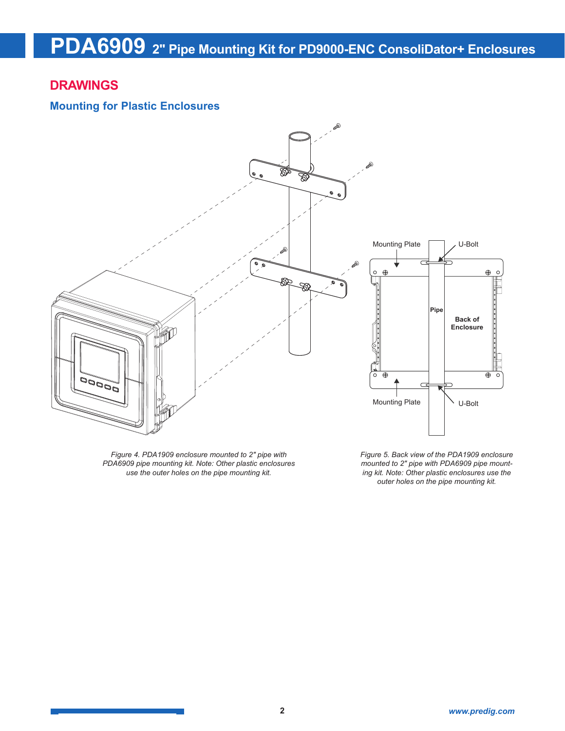#### **DRAWINGS**

#### **Mounting for Plastic Enclosures**



*Figure 4. PDA1909 enclosure mounted to 2" pipe with PDA6909 pipe mounting kit. Note: Other plastic enclosures use the outer holes on the pipe mounting kit.*

*Figure 5. Back view of the PDA1909 enclosure mounted to 2" pipe with PDA6909 pipe mounting kit. Note: Other plastic enclosures use the outer holes on the pipe mounting kit.*